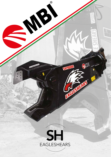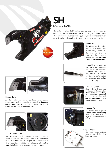

# **SH** EAGLESHEARS

The metal shear line that transformed shear design in the world by introducing the so-called naked shear. It is designed for demolition of metal structures, such as buildings, tanks, ships, bridges and much more. It is also widely utilized for steel processing in scrap yards.



#### Jaw design

The SH jaws are designed to work in combination and maximize cutting performances. The fixed jaw tilts the materials while the mobile jaw delivers the full cutting power on a reduced surface.

#### Forged Reversed Cylinders

The extremely powerful SH cylinder are reversed to improve rod protection and enable the "naked design" to save weight. The cylinder rod is forged to maximize robustness and functionality.

#### Auto Lube System

Shears above 7 tons are equipped with the patented Manto-Autolube system, an automatic greasing pump that ensures the correct lubrication of the important moving parts.

### Rotating Group

The sturdy rotation grants precise tool positioning while the anticavitation valve increases operational safety.

## Speed-Valve

The speed valve reduces opening and closing time boosting productivity.



### Blades design

All the blades can be turned three times before replacement and are specifically shaped to *improve* cutting performances. The piercing tip and the frontal blade improve perforation capabilities.





### Double Cutting Guide

Jaws alignment is vital to ensure the maximum cutting power. Two different adjustable guides allow the operator to check and fine-tune the alignment over time with a simple operation. In addition, the adjustment kit on the central pin facilitates pin removal and maintenance.





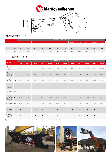



# DIMENSIONS

|              |    | BT.SHmini.07                   |       | BT.SH.10      |               |               |               |               |               |               |               | BT.SH1500.03   | BT.SH2000.02   |
|--------------|----|--------------------------------|-------|---------------|---------------|---------------|---------------|---------------|---------------|---------------|---------------|----------------|----------------|
| <b>MODEL</b> |    | <b>HYDRAULIC ROTATION 360°</b> |       |               |               |               |               |               |               |               |               |                |                |
|              |    | <b>SH25R</b>                   | SH50R | <b>SH100R</b> | <b>SH130R</b> | <b>SH180R</b> | <b>SH310R</b> | <b>SH410R</b> | <b>SH550R</b> | <b>SH700R</b> | <b>SH900R</b> | <b>SH1500R</b> | <b>SH2000R</b> |
| $\mathsf{A}$ | mm | 195                            | 290   | 375           | 375           | 445           | 565           | 670           | 760           | 830           | 940           | 1100           | 1200           |
| B            | mm | 200                            | 290   | 395           | 395           | 525           | 630           | 720           | 780           | 840           | 950           | 1100           | 1200           |
| ◡            | mm | 1350                           | 1900  | 2000          | 2100          | 2700          | 3300          | 3700          | 3950          | 4300          | 4600          | 5200           | 6000           |

# TECHNICAL DATA

| <b>MODEL</b>                                                               |              | <b>HYDRAULIC ROTATION 360°</b> |           |               |               |               |               |               |               |               |               |                |                |
|----------------------------------------------------------------------------|--------------|--------------------------------|-----------|---------------|---------------|---------------|---------------|---------------|---------------|---------------|---------------|----------------|----------------|
|                                                                            |              | SH <sub>25R</sub>              | SH50R     | <b>SH100R</b> | <b>SH130R</b> | <b>SH180R</b> | <b>SH310R</b> | <b>SH410R</b> | <b>SH550R</b> | <b>SH700R</b> | <b>SH900R</b> | <b>SH1500R</b> | <b>SH2000R</b> |
| <b>EXCAVATOR</b><br><b>WEIGHT WITH</b><br><b>SH</b><br><b>BUCKET PLACE</b> | $\mathbf{t}$ | $5 - 7$                        | $7 - 10$  | $11 - 13$     | $13 - 17$     | 18-25         | $30 - 40$     | 45-55         | 55-65         | 75-85         | 90-110        | 110-170        | 170-200        |
| <b>EXCAVATOR</b><br><b>WEIGHT WITH</b><br><b>SH</b><br><b>STICK PLACE</b>  | t            | $2 - 4$                        | $4-6$     | $7 - 10$      | $8 - 12$      | $14-18$       | $20 - 28$     | 28-39         | 39-45         | $45 - 60$     | 60-80         | 80-110         | 110-150        |
| <b>TOOL</b><br>WEIGHT*                                                     | kg           | 380                            | 650       | 1100          | 1220          | 2100          | 3300          | 4700          | 5750          | 7700          | 10100         | 14500          | 21000          |
| <b>HYDRAULIC</b><br><b>WORKING</b><br>PRESSURE                             | bar          | 200-250                        | 250-300   | 250-300       | 250-300       | 320-350       | 320-350       | 320-350       | 320-350       | 320-350       | 320-350       | 320-350        | 320-350        |
| OIL FLOW                                                                   | l/min        | 60-100                         | 80-100    | 90-110        | 90-110        | 150-200       | 200-250       | 250-300       | 275-375       | 500-600       | 600-700       | 700-1000       | 700-1000       |
| <b>MAX</b><br><b>HYDRAULIC</b><br><b>MOTOR OIL</b><br><b>PRESSURE</b>      | bar          | 190-200                        | 90-100    | 190-200       | 90-100        | 130-150       | 100-115       | 100-115       | 100-115       | 140-150       | 170-190       | 170-200        | 170-200        |
| MAX MOTOR<br>OIL FLOW                                                      | l/min        | $10 - 15$                      | $15 - 20$ | $10 - 15$     | $30 - 40$     | $30 - 40$     | $30 - 40$     | $30 - 40$     | $30 - 40$     | 50-60         | 55-65         | 140-150        | 140-150        |
| SPEEDVALVE                                                                 |              | $\circ$                        | $\circ$   | c             | ●             |               | $\bullet$     | $\bullet$     |               | $\bullet$     |               |                |                |
| <b>AUTOMATIC</b><br><b>GREASING</b><br>SYSTEM                              |              | $\circ$                        | $\circ$   | $\circ$       | $\circ$       | $\circ$       | $\circ$       | $\circ$       | $\circ$       | $\bullet$     |               |                |                |

reserve the right to change the design and technical specifications without prior notice.

\* Tool weight does include Mantovanibenne top bracket.<br>O Not available Available